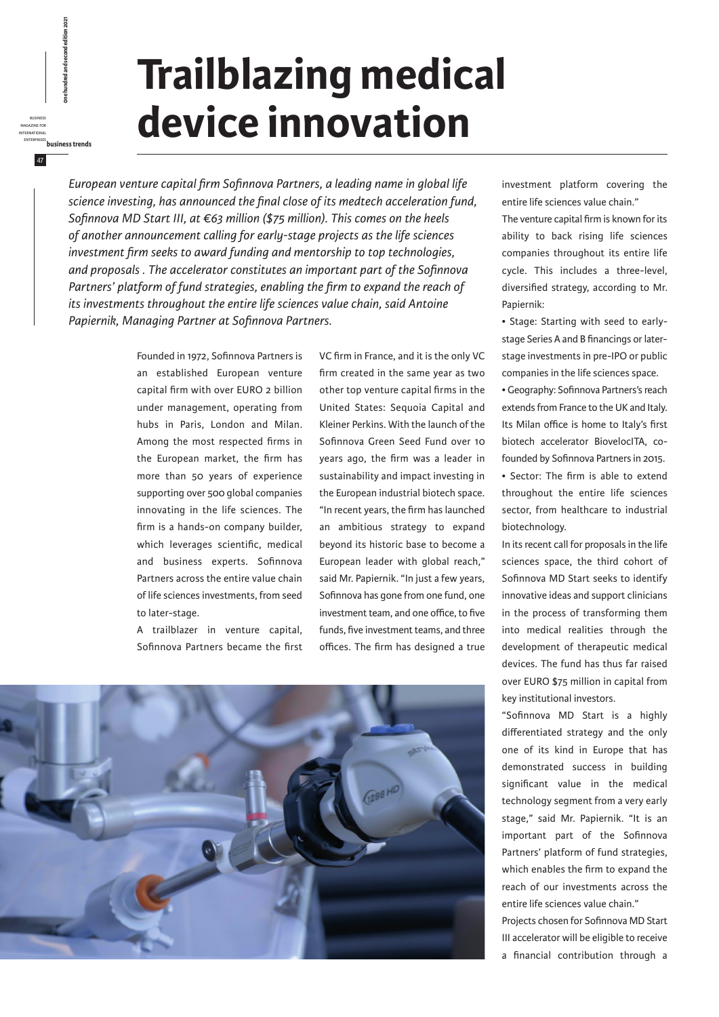## **Trailblazing medical device innovation**

*European venture capital firm Sofinnova Partners, a leading name in global life science investing, has announced the final close of its medtech acceleration fund, Sofinnova MD Start III, at €63 million (\$75 million). This comes on the heels of another announcement calling for early-stage projects as the life sciences investment firm seeks to award funding and mentorship to top technologies, and proposals . The accelerator constitutes an important part of the Sofinnova*  Partners' platform of fund strategies, enabling the firm to expand the reach of *its investments throughout the entire life sciences value chain, said Antoine Papiernik, Managing Partner at Sofinnova Partners.*

> Founded in 1972, Sofinnova Partners is an established European venture capital firm with over EURO 2 billion under management, operating from hubs in Paris, London and Milan. Among the most respected firms in the European market, the firm has more than 50 years of experience supporting over 500 global companies innovating in the life sciences. The firm is a hands-on company builder, which leverages scientific, medical and business experts. Sofinnova Partners across the entire value chain of life sciences investments, from seed to later-stage.

business magazine for international

47

enterprises<br> **enterprises business<br>
CREATING PORT CONFORMAL SECOND EDITION 2021<br>
DOR hundred and second edition 2021**<br>
ENTERPRISES<br> **ENTERPRISES**<br> **ENTERPRISES** 

A trailblazer in venture capital, Sofinnova Partners became the first VC firm in France, and it is the only VC firm created in the same year as two other top venture capital firms in the United States: Sequoia Capital and Kleiner Perkins. With the launch of the Sofinnova Green Seed Fund over 10 years ago, the firm was a leader in sustainability and impact investing in the European industrial biotech space. "In recent years, the firm has launched an ambitious strategy to expand beyond its historic base to become a European leader with global reach," said Mr. Papiernik. "In just a few years, Sofinnova has gone from one fund, one investment team, and one office, to five funds, five investment teams, and three offices. The firm has designed a true



investment platform covering the entire life sciences value chain."

The venture capital firm is known for its ability to back rising life sciences companies throughout its entire life cycle. This includes a three-level, diversified strategy, according to Mr. Papiernik:

• Stage: Starting with seed to earlystage Series A and B financings or laterstage investments in pre-IPO or public companies in the life sciences space.

• Geography: Sofinnova Partners's reach extends from France to the UK and Italy. Its Milan office is home to Italy's first biotech accelerator BiovelocITA, cofounded by Sofinnova Partners in 2015.

• Sector: The firm is able to extend throughout the entire life sciences sector, from healthcare to industrial biotechnology.

In its recent call for proposals in the life sciences space, the third cohort of Sofinnova MD Start seeks to identify innovative ideas and support clinicians in the process of transforming them into medical realities through the development of therapeutic medical devices. The fund has thus far raised over EURO \$75 million in capital from key institutional investors.

"Sofinnova MD Start is a highly differentiated strategy and the only one of its kind in Europe that has demonstrated success in building significant value in the medical technology segment from a very early stage," said Mr. Papiernik. "It is an important part of the Sofinnova Partners' platform of fund strategies, which enables the firm to expand the reach of our investments across the entire life sciences value chain."

Projects chosen for Sofinnova MD Start III accelerator will be eligible to receive a financial contribution through a